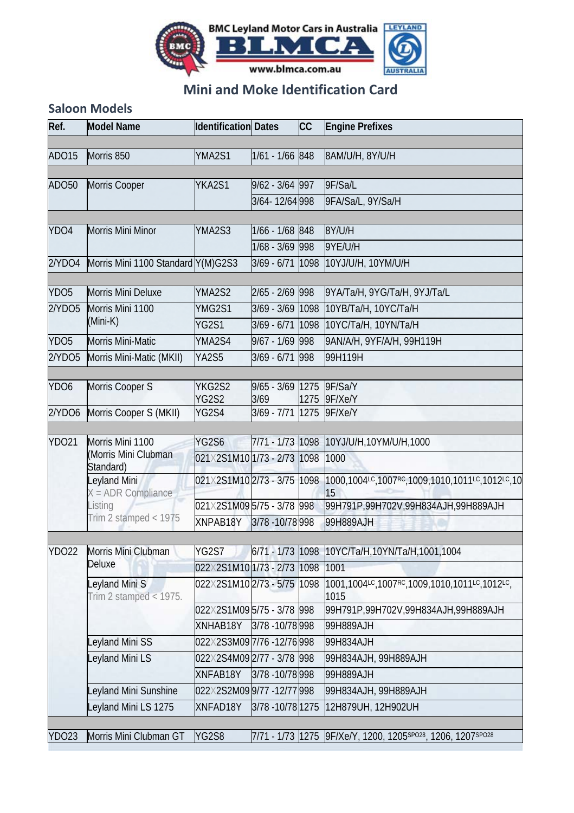

## **Mini and Moke Identification Card**

## **Saloon Models**

| Ref.             | <b>Model Name</b>                           | <b>Identification Dates</b> |                   | <b>CC</b> | <b>Engine Prefixes</b>                                       |  |  |
|------------------|---------------------------------------------|-----------------------------|-------------------|-----------|--------------------------------------------------------------|--|--|
| ADO15            | Morris 850                                  | YMA2S1                      | 1/61 - 1/66 848   |           | 8AM/U/H, 8Y/U/H                                              |  |  |
|                  |                                             |                             |                   |           |                                                              |  |  |
| ADO50            | Morris Cooper                               | YKA2S1                      | 9/62 - 3/64 997   |           | 9F/Sa/L                                                      |  |  |
|                  |                                             |                             | 3/64-12/64 998    |           | 9FA/Sa/L, 9Y/Sa/H                                            |  |  |
|                  |                                             |                             |                   |           |                                                              |  |  |
| YDO4             | Morris Mini Minor                           | YMA2S3                      | 1/66 - 1/68 848   |           | 8Y/U/H                                                       |  |  |
|                  |                                             |                             | 1/68 - 3/69 998   |           | 9YE/U/H                                                      |  |  |
| 2/YDO4           | Morris Mini 1100 Standard Y(M)G2S3          |                             | 3/69 - 6/71 1098  |           | 10YJ/U/H, 10YM/U/H                                           |  |  |
| YDO <sub>5</sub> | Morris Mini Deluxe                          | YMA2S2                      | 2/65 - 2/69 998   |           | 9YA/Ta/H, 9YG/Ta/H, 9YJ/Ta/L                                 |  |  |
| 2/YD05           | Morris Mini 1100<br>(Mini-K)                | YMG2S1                      | 3/69 - 3/69 1098  |           | 10ҮВ/Та/Н, 10ҮС/Та/Н                                         |  |  |
|                  |                                             | <b>YG2S1</b>                |                   |           | 3/69 - 6/71 1098 10YC/Ta/H, 10YN/Ta/H                        |  |  |
| YDO <sub>5</sub> | <b>Morris Mini-Matic</b>                    | YMA2S4                      | 9/67 - 1/69 998   |           | 9AN/A/H, 9YF/A/H, 99H119H                                    |  |  |
| 2/YD05           | Morris Mini-Matic (MKII)                    | YA2S5                       | 3/69 - 6/71 998   |           | 99H119H                                                      |  |  |
|                  |                                             |                             |                   |           |                                                              |  |  |
| YDO6             | Morris Cooper S                             | YKG2S2                      | 9/65 - 3/69 1275  |           | 9F/Sa/Y                                                      |  |  |
|                  |                                             | <b>YG2S2</b>                | 3/69              | 1275      | 9F/Xe/Y                                                      |  |  |
| 2/YDO6           | Morris Cooper S (MKII)                      | YG2S4                       | $3/69 - 7/71$     | 1275      | 9F/Xe/Y                                                      |  |  |
| <b>YDO21</b>     | Morris Mini 1100                            | YG2S6                       |                   |           | 7/71 - 1/73 1098 10YJ/U/H,10YM/U/H,1000                      |  |  |
|                  | (Morris Mini Clubman)                       | 021X2S1M101/73 - 2/73 1098  |                   |           | 1000                                                         |  |  |
|                  | Standard)                                   |                             |                   |           |                                                              |  |  |
|                  | Leyland Mini<br>X = ADR Compliance          | 021X2S1M102/73 - 3/75 1098  |                   |           | 1000,1004LC,1007RC,1009,1010,1011LC,1012LC,10<br>15          |  |  |
|                  | Listing<br>Trim 2 stamped < 1975            | 021X2S1M095/75 - 3/78 998   |                   |           | 99H791P,99H702V,99H834AJH,99H889AJH                          |  |  |
|                  |                                             | XNPAB18Y                    | 3/78 - 10/78 998  |           | 99H889AJH                                                    |  |  |
|                  |                                             |                             |                   |           |                                                              |  |  |
| <b>YDO22</b>     | Morris Mini Clubman                         | <b>YG2S7</b>                | 6/71 - 1/73 1098  |           | 10YC/Ta/H,10YN/Ta/H,1001,1004                                |  |  |
|                  | Deluxe                                      | 022X2S1M101/73 - 2/73 1098  |                   |           | 1001                                                         |  |  |
|                  | Leyland Mini S<br>Trim 2 stamped < $1975$ . | 022X2S1M102/73 - 5/75 1098  |                   |           | 1001,1004LC,1007RC,1009,1010,1011LC,1012LC,<br>1015          |  |  |
|                  |                                             | 022X2S1M09 5/75 - 3/78 998  |                   |           | 99H791P,99H702V,99H834AJH,99H889AJH                          |  |  |
|                  |                                             | XNHAB18Y                    | 3/78 - 10/78 998  |           | 99H889AJH                                                    |  |  |
|                  | Leyland Mini SS                             | 022X2S3M097/76-12/76998     |                   |           | 99H834AJH                                                    |  |  |
|                  | Leyland Mini LS                             | 022X2S4M092/77 - 3/78 998   |                   |           | 99Н834АЈН, 99Н889АЈН                                         |  |  |
|                  |                                             | XNFAB18Y                    | 3/78 - 10/78 998  |           | 99H889AJH                                                    |  |  |
|                  | Leyland Mini Sunshine                       | 022X2S2M099/77-12/77998     |                   |           | 99H834AJH, 99H889AJH<br>12H879UH, 12H902UH                   |  |  |
|                  | Leyland Mini LS 1275                        | <b>XNFAD18Y</b>             | 3/78 - 10/78 1275 |           |                                                              |  |  |
|                  |                                             |                             |                   |           |                                                              |  |  |
| <b>YDO23</b>     | Morris Mini Clubman GT                      | YG2S8                       |                   |           | 7/71 - 1/73 1275 9F/Xe/Y, 1200, 1205 SPO28, 1206, 1207 SPO28 |  |  |